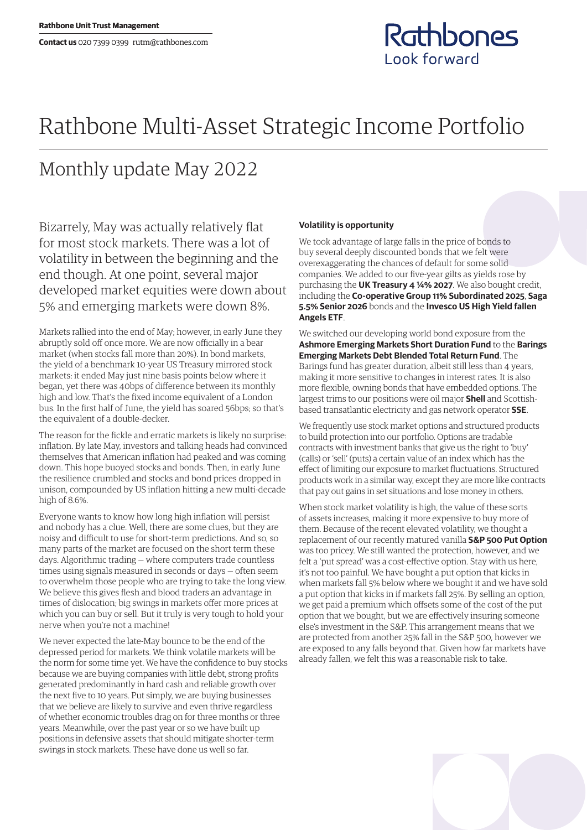## Rathbones Look forward

## Rathbone Multi-Asset Strategic Income Portfolio

## Monthly update May 2022

Bizarrely, May was actually relatively flat for most stock markets. There was a lot of volatility in between the beginning and the end though. At one point, several major developed market equities were down about 5% and emerging markets were down 8%.

Markets rallied into the end of May; however, in early June they abruptly sold off once more. We are now officially in a bear market (when stocks fall more than 20%). In bond markets, the yield of a benchmark 10-year US Treasury mirrored stock markets: it ended May just nine basis points below where it began, yet there was 40bps of difference between its monthly high and low. That's the fixed income equivalent of a London bus. In the first half of June, the yield has soared 56bps; so that's the equivalent of a double-decker.

The reason for the fickle and erratic markets is likely no surprise: inflation. By late May, investors and talking heads had convinced themselves that American inflation had peaked and was coming down. This hope buoyed stocks and bonds. Then, in early June the resilience crumbled and stocks and bond prices dropped in unison, compounded by US inflation hitting a new multi-decade high of 8.6%.

Everyone wants to know how long high inflation will persist and nobody has a clue. Well, there are some clues, but they are noisy and difficult to use for short-term predictions. And so, so many parts of the market are focused on the short term these days. Algorithmic trading — where computers trade countless times using signals measured in seconds or days — often seem to overwhelm those people who are trying to take the long view. We believe this gives flesh and blood traders an advantage in times of dislocation; big swings in markets offer more prices at which you can buy or sell. But it truly is very tough to hold your nerve when you're not a machine!

We never expected the late-May bounce to be the end of the depressed period for markets. We think volatile markets will be the norm for some time yet. We have the confidence to buy stocks because we are buying companies with little debt, strong profits generated predominantly in hard cash and reliable growth over the next five to 10 years. Put simply, we are buying businesses that we believe are likely to survive and even thrive regardless of whether economic troubles drag on for three months or three years. Meanwhile, over the past year or so we have built up positions in defensive assets that should mitigate shorter-term swings in stock markets. These have done us well so far.

## **Volatility is opportunity**

We took advantage of large falls in the price of bonds to buy several deeply discounted bonds that we felt were overexaggerating the chances of default for some solid companies. We added to our five-year gilts as yields rose by purchasing the **UK Treasury 4 ¼% 2027**. We also bought credit, including the **Co-operative Group 11% Subordinated 2025**, **Saga 5.5% Senior 2026** bonds and the **Invesco US High Yield fallen Angels ETF**.

We switched our developing world bond exposure from the **Ashmore Emerging Markets Short Duration Fund** to the **Barings Emerging Markets Debt Blended Total Return Fund**. The Barings fund has greater duration, albeit still less than 4 years, making it more sensitive to changes in interest rates. It is also more flexible, owning bonds that have embedded options. The largest trims to our positions were oil major **Shell** and Scottishbased transatlantic electricity and gas network operator **SSE**.

We frequently use stock market options and structured products to build protection into our portfolio. Options are tradable contracts with investment banks that give us the right to 'buy' (calls) or 'sell' (puts) a certain value of an index which has the effect of limiting our exposure to market fluctuations. Structured products work in a similar way, except they are more like contracts that pay out gains in set situations and lose money in others.

When stock market volatility is high, the value of these sorts of assets increases, making it more expensive to buy more of them. Because of the recent elevated volatility, we thought a replacement of our recently matured vanilla **S&P 500 Put Option** was too pricey. We still wanted the protection, however, and we felt a 'put spread' was a cost-effective option. Stay with us here, it's not too painful. We have bought a put option that kicks in when markets fall 5% below where we bought it and we have sold a put option that kicks in if markets fall 25%. By selling an option, we get paid a premium which offsets some of the cost of the put option that we bought, but we are effectively insuring someone else's investment in the S&P. This arrangement means that we are protected from another 25% fall in the S&P 500, however we are exposed to any falls beyond that. Given how far markets have already fallen, we felt this was a reasonable risk to take.